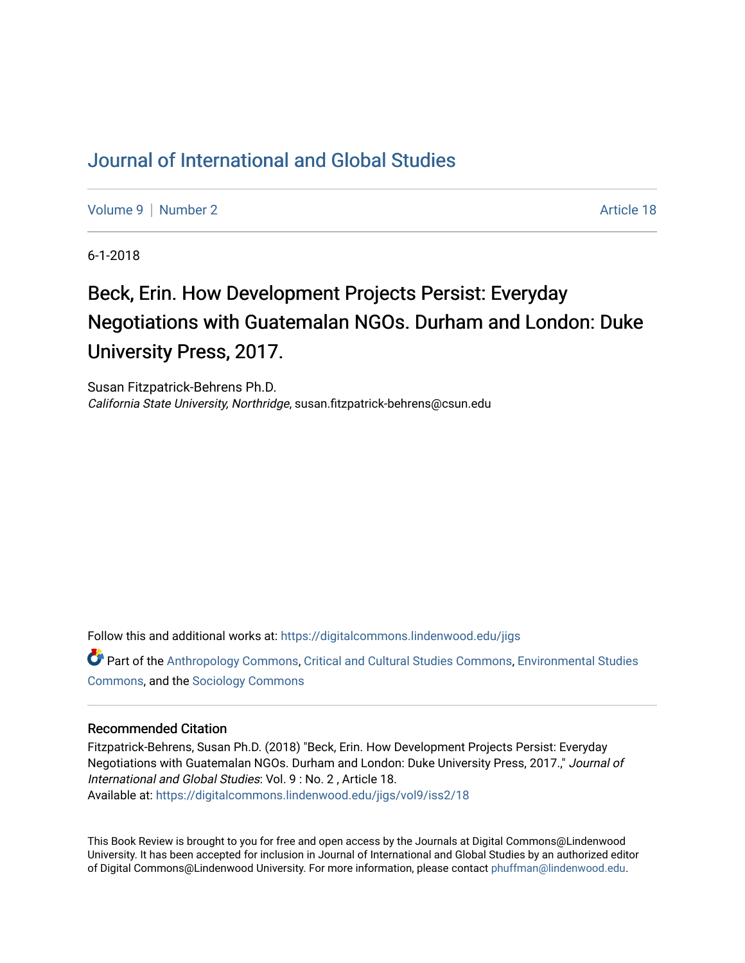## [Journal of International and Global Studies](https://digitalcommons.lindenwood.edu/jigs)

[Volume 9](https://digitalcommons.lindenwood.edu/jigs/vol9) | [Number 2](https://digitalcommons.lindenwood.edu/jigs/vol9/iss2) Article 18

6-1-2018

## Beck, Erin. How Development Projects Persist: Everyday Negotiations with Guatemalan NGOs. Durham and London: Duke University Press, 2017.

Susan Fitzpatrick-Behrens Ph.D. California State University, Northridge, susan.fitzpatrick-behrens@csun.edu

Follow this and additional works at: [https://digitalcommons.lindenwood.edu/jigs](https://digitalcommons.lindenwood.edu/jigs?utm_source=digitalcommons.lindenwood.edu%2Fjigs%2Fvol9%2Fiss2%2F18&utm_medium=PDF&utm_campaign=PDFCoverPages) 

Part of the [Anthropology Commons](http://network.bepress.com/hgg/discipline/318?utm_source=digitalcommons.lindenwood.edu%2Fjigs%2Fvol9%2Fiss2%2F18&utm_medium=PDF&utm_campaign=PDFCoverPages), [Critical and Cultural Studies Commons](http://network.bepress.com/hgg/discipline/328?utm_source=digitalcommons.lindenwood.edu%2Fjigs%2Fvol9%2Fiss2%2F18&utm_medium=PDF&utm_campaign=PDFCoverPages), [Environmental Studies](http://network.bepress.com/hgg/discipline/1333?utm_source=digitalcommons.lindenwood.edu%2Fjigs%2Fvol9%2Fiss2%2F18&utm_medium=PDF&utm_campaign=PDFCoverPages)  [Commons](http://network.bepress.com/hgg/discipline/1333?utm_source=digitalcommons.lindenwood.edu%2Fjigs%2Fvol9%2Fiss2%2F18&utm_medium=PDF&utm_campaign=PDFCoverPages), and the [Sociology Commons](http://network.bepress.com/hgg/discipline/416?utm_source=digitalcommons.lindenwood.edu%2Fjigs%2Fvol9%2Fiss2%2F18&utm_medium=PDF&utm_campaign=PDFCoverPages)

## Recommended Citation

Fitzpatrick-Behrens, Susan Ph.D. (2018) "Beck, Erin. How Development Projects Persist: Everyday Negotiations with Guatemalan NGOs. Durham and London: Duke University Press, 2017.," Journal of International and Global Studies: Vol. 9 : No. 2 , Article 18. Available at: [https://digitalcommons.lindenwood.edu/jigs/vol9/iss2/18](https://digitalcommons.lindenwood.edu/jigs/vol9/iss2/18?utm_source=digitalcommons.lindenwood.edu%2Fjigs%2Fvol9%2Fiss2%2F18&utm_medium=PDF&utm_campaign=PDFCoverPages) 

This Book Review is brought to you for free and open access by the Journals at Digital Commons@Lindenwood University. It has been accepted for inclusion in Journal of International and Global Studies by an authorized editor of Digital Commons@Lindenwood University. For more information, please contact [phuffman@lindenwood.edu](mailto:phuffman@lindenwood.edu).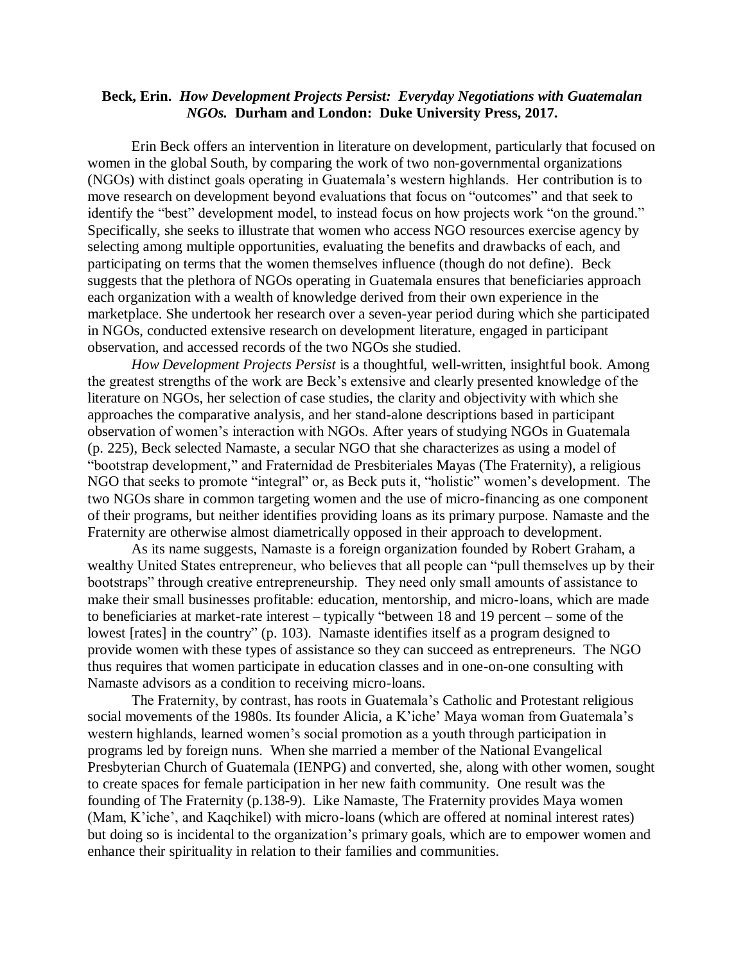## **Beck, Erin.** *How Development Projects Persist: Everyday Negotiations with Guatemalan NGOs.* **Durham and London: Duke University Press, 2017.**

Erin Beck offers an intervention in literature on development, particularly that focused on women in the global South, by comparing the work of two non-governmental organizations (NGOs) with distinct goals operating in Guatemala's western highlands. Her contribution is to move research on development beyond evaluations that focus on "outcomes" and that seek to identify the "best" development model, to instead focus on how projects work "on the ground." Specifically, she seeks to illustrate that women who access NGO resources exercise agency by selecting among multiple opportunities, evaluating the benefits and drawbacks of each, and participating on terms that the women themselves influence (though do not define). Beck suggests that the plethora of NGOs operating in Guatemala ensures that beneficiaries approach each organization with a wealth of knowledge derived from their own experience in the marketplace. She undertook her research over a seven-year period during which she participated in NGOs, conducted extensive research on development literature, engaged in participant observation, and accessed records of the two NGOs she studied.

*How Development Projects Persist* is a thoughtful, well-written, insightful book. Among the greatest strengths of the work are Beck's extensive and clearly presented knowledge of the literature on NGOs, her selection of case studies, the clarity and objectivity with which she approaches the comparative analysis, and her stand-alone descriptions based in participant observation of women's interaction with NGOs. After years of studying NGOs in Guatemala (p. 225), Beck selected Namaste, a secular NGO that she characterizes as using a model of "bootstrap development," and Fraternidad de Presbiteriales Mayas (The Fraternity), a religious NGO that seeks to promote "integral" or, as Beck puts it, "holistic" women's development. The two NGOs share in common targeting women and the use of micro-financing as one component of their programs, but neither identifies providing loans as its primary purpose. Namaste and the Fraternity are otherwise almost diametrically opposed in their approach to development.

As its name suggests, Namaste is a foreign organization founded by Robert Graham, a wealthy United States entrepreneur, who believes that all people can "pull themselves up by their bootstraps" through creative entrepreneurship. They need only small amounts of assistance to make their small businesses profitable: education, mentorship, and micro-loans, which are made to beneficiaries at market-rate interest – typically "between 18 and 19 percent – some of the lowest [rates] in the country" (p. 103). Namaste identifies itself as a program designed to provide women with these types of assistance so they can succeed as entrepreneurs. The NGO thus requires that women participate in education classes and in one-on-one consulting with Namaste advisors as a condition to receiving micro-loans.

The Fraternity, by contrast, has roots in Guatemala's Catholic and Protestant religious social movements of the 1980s. Its founder Alicia, a K'iche' Maya woman from Guatemala's western highlands, learned women's social promotion as a youth through participation in programs led by foreign nuns. When she married a member of the National Evangelical Presbyterian Church of Guatemala (IENPG) and converted, she, along with other women, sought to create spaces for female participation in her new faith community. One result was the founding of The Fraternity (p.138-9). Like Namaste, The Fraternity provides Maya women (Mam, K'iche', and Kaqchikel) with micro-loans (which are offered at nominal interest rates) but doing so is incidental to the organization's primary goals, which are to empower women and enhance their spirituality in relation to their families and communities.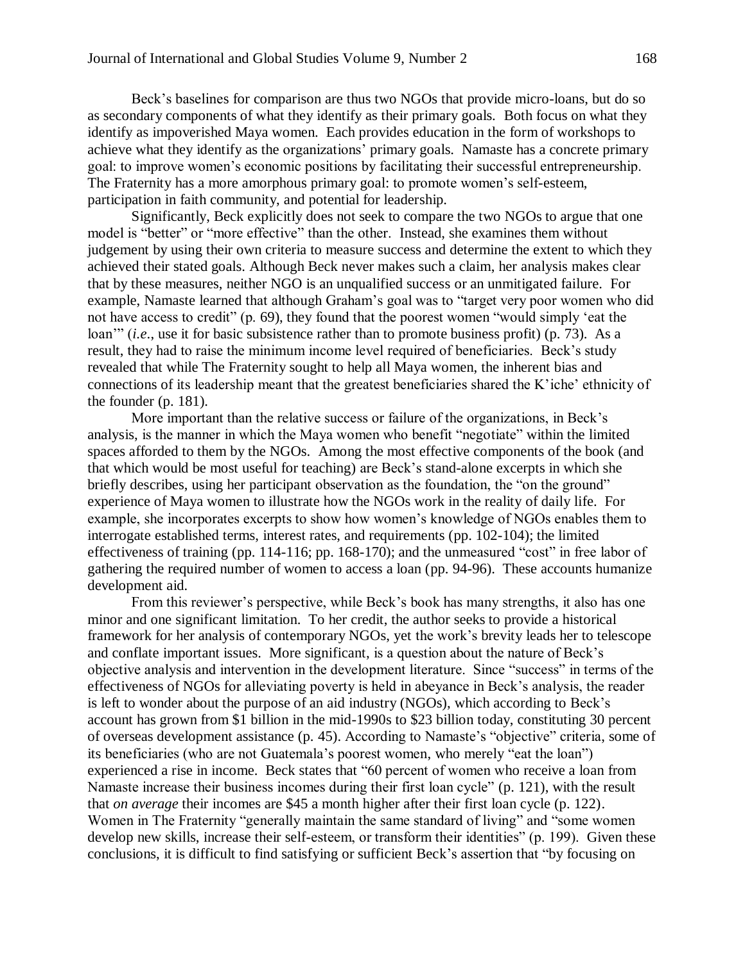Beck's baselines for comparison are thus two NGOs that provide micro-loans, but do so as secondary components of what they identify as their primary goals. Both focus on what they identify as impoverished Maya women. Each provides education in the form of workshops to achieve what they identify as the organizations' primary goals. Namaste has a concrete primary goal: to improve women's economic positions by facilitating their successful entrepreneurship. The Fraternity has a more amorphous primary goal: to promote women's self-esteem, participation in faith community, and potential for leadership.

Significantly, Beck explicitly does not seek to compare the two NGOs to argue that one model is "better" or "more effective" than the other. Instead, she examines them without judgement by using their own criteria to measure success and determine the extent to which they achieved their stated goals. Although Beck never makes such a claim, her analysis makes clear that by these measures, neither NGO is an unqualified success or an unmitigated failure. For example, Namaste learned that although Graham's goal was to "target very poor women who did not have access to credit" (p. 69), they found that the poorest women "would simply 'eat the loan'" (*i.e*., use it for basic subsistence rather than to promote business profit) (p. 73). As a result, they had to raise the minimum income level required of beneficiaries. Beck's study revealed that while The Fraternity sought to help all Maya women, the inherent bias and connections of its leadership meant that the greatest beneficiaries shared the K'iche' ethnicity of the founder (p. 181).

More important than the relative success or failure of the organizations, in Beck's analysis, is the manner in which the Maya women who benefit "negotiate" within the limited spaces afforded to them by the NGOs. Among the most effective components of the book (and that which would be most useful for teaching) are Beck's stand-alone excerpts in which she briefly describes, using her participant observation as the foundation, the "on the ground" experience of Maya women to illustrate how the NGOs work in the reality of daily life. For example, she incorporates excerpts to show how women's knowledge of NGOs enables them to interrogate established terms, interest rates, and requirements (pp. 102-104); the limited effectiveness of training (pp. 114-116; pp. 168-170); and the unmeasured "cost" in free labor of gathering the required number of women to access a loan (pp. 94-96). These accounts humanize development aid.

From this reviewer's perspective, while Beck's book has many strengths, it also has one minor and one significant limitation. To her credit, the author seeks to provide a historical framework for her analysis of contemporary NGOs, yet the work's brevity leads her to telescope and conflate important issues. More significant, is a question about the nature of Beck's objective analysis and intervention in the development literature. Since "success" in terms of the effectiveness of NGOs for alleviating poverty is held in abeyance in Beck's analysis, the reader is left to wonder about the purpose of an aid industry (NGOs), which according to Beck's account has grown from \$1 billion in the mid-1990s to \$23 billion today, constituting 30 percent of overseas development assistance (p. 45). According to Namaste's "objective" criteria, some of its beneficiaries (who are not Guatemala's poorest women, who merely "eat the loan") experienced a rise in income. Beck states that "60 percent of women who receive a loan from Namaste increase their business incomes during their first loan cycle" (p. 121), with the result that *on average* their incomes are \$45 a month higher after their first loan cycle (p. 122). Women in The Fraternity "generally maintain the same standard of living" and "some women develop new skills, increase their self-esteem, or transform their identities" (p. 199). Given these conclusions, it is difficult to find satisfying or sufficient Beck's assertion that "by focusing on